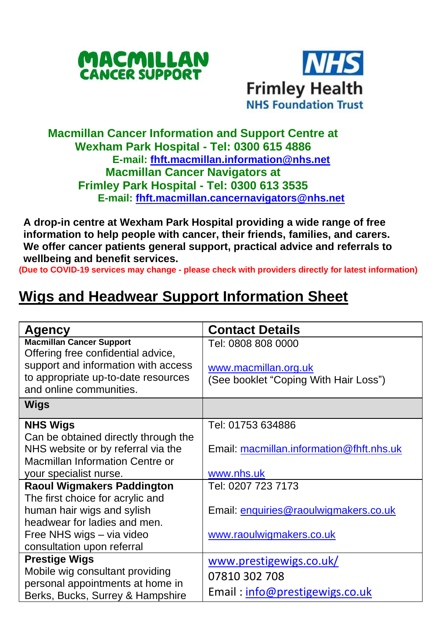



## **Macmillan Cancer Information and Support Centre at Wexham Park Hospital - Tel: 0300 615 4886 E-mail: [fhft.macmillan.information@nhs.net](mailto:fhft.macmillan.information@nhs.net) Macmillan Cancer Navigators at Frimley Park Hospital - Tel: 0300 613 3535 E-mail: [fhft.macmillan.cancernavigators@nhs.net](mailto:fhft.macmillan.cancernavigators@nhs.net)**

**A drop-in centre at Wexham Park Hospital providing a wide range of free information to help people with cancer, their friends, families, and carers. We offer cancer patients general support, practical advice and referrals to wellbeing and benefit services.**

**(Due to COVID-19 services may change - please check with providers directly for latest information)**

## **Wigs and Headwear Support Information Sheet**

| Agency                                                         | <b>Contact Details</b>                   |  |
|----------------------------------------------------------------|------------------------------------------|--|
| <b>Macmillan Cancer Support</b>                                | Tel: 0808 808 0000                       |  |
| Offering free confidential advice,                             |                                          |  |
| support and information with access                            | www.macmillan.org.uk                     |  |
| to appropriate up-to-date resources<br>and online communities. | (See booklet "Coping With Hair Loss")    |  |
| <b>Wigs</b>                                                    |                                          |  |
|                                                                |                                          |  |
| <b>NHS Wigs</b>                                                | Tel: 01753 634886                        |  |
| Can be obtained directly through the                           |                                          |  |
| NHS website or by referral via the                             | Email: macmillan.information@fhft.nhs.uk |  |
| Macmillan Information Centre or                                |                                          |  |
| your specialist nurse.                                         | www.nhs.uk                               |  |
| <b>Raoul Wigmakers Paddington</b>                              | Tel: 0207 723 7173                       |  |
| The first choice for acrylic and                               |                                          |  |
| human hair wigs and sylish                                     | Email: enquiries@raoulwigmakers.co.uk    |  |
| headwear for ladies and men.                                   |                                          |  |
| Free NHS wigs - via video                                      | www.raoulwigmakers.co.uk                 |  |
| consultation upon referral                                     |                                          |  |
| <b>Prestige Wigs</b>                                           | www.prestigewigs.co.uk/                  |  |
| Mobile wig consultant providing                                | 07810 302 708                            |  |
| personal appointments at home in                               |                                          |  |
| Berks, Bucks, Surrey & Hampshire                               | Email: info@prestigewigs.co.uk           |  |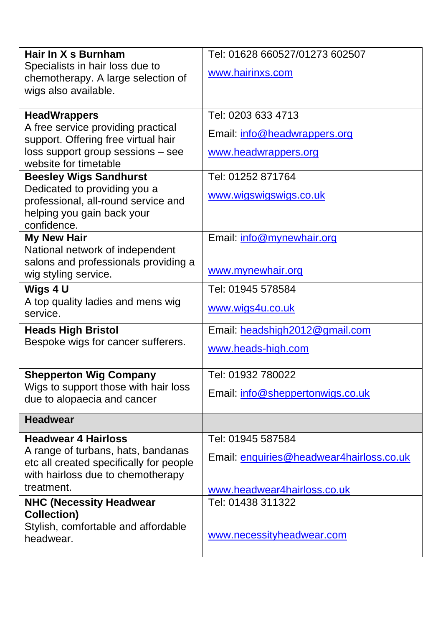| Hair In X s Burnham                                           | Tel: 01628 660527/01273 602507           |  |  |
|---------------------------------------------------------------|------------------------------------------|--|--|
| Specialists in hair loss due to                               | www.hairinxs.com                         |  |  |
| chemotherapy. A large selection of                            |                                          |  |  |
| wigs also available.                                          |                                          |  |  |
| <b>HeadWrappers</b>                                           | Tel: 0203 633 4713                       |  |  |
| A free service providing practical                            |                                          |  |  |
| support. Offering free virtual hair                           | Email: info@headwrappers.org             |  |  |
| loss support group sessions - see                             | www.headwrappers.org                     |  |  |
| website for timetable                                         |                                          |  |  |
| <b>Beesley Wigs Sandhurst</b><br>Dedicated to providing you a | Tel: 01252 871764                        |  |  |
| professional, all-round service and                           | www.wigswigswigs.co.uk                   |  |  |
| helping you gain back your                                    |                                          |  |  |
| confidence.                                                   |                                          |  |  |
| <b>My New Hair</b>                                            | Email: info@mynewhair.org                |  |  |
| National network of independent                               |                                          |  |  |
| salons and professionals providing a                          | www.mynewhair.org                        |  |  |
| wig styling service.                                          |                                          |  |  |
| Wigs $4U$                                                     | Tel: 01945 578584                        |  |  |
| A top quality ladies and mens wig<br>service.                 | www.wigs4u.co.uk                         |  |  |
|                                                               |                                          |  |  |
| <b>Heads High Bristol</b>                                     | Email: headshigh2012@gmail.com           |  |  |
| Bespoke wigs for cancer sufferers.                            | www.heads-high.com                       |  |  |
|                                                               |                                          |  |  |
| <b>Shepperton Wig Company</b>                                 | Tel: 01932 780022                        |  |  |
| Wigs to support those with hair loss                          | Email: info@sheppertonwigs.co.uk         |  |  |
| due to alopaecia and cancer                                   |                                          |  |  |
| <b>Headwear</b>                                               |                                          |  |  |
| <b>Headwear 4 Hairloss</b>                                    | Tel: 01945 587584                        |  |  |
| A range of turbans, hats, bandanas                            | Email: enquiries@headwear4hairloss.co.uk |  |  |
| etc all created specifically for people                       |                                          |  |  |
| with hairloss due to chemotherapy                             |                                          |  |  |
| treatment.                                                    | www.headwear4hairloss.co.uk              |  |  |
| <b>NHC (Necessity Headwear</b>                                | Tel: 01438 311322                        |  |  |
| <b>Collection)</b><br>Stylish, comfortable and affordable     |                                          |  |  |
| headwear.                                                     | www.necessityheadwear.com                |  |  |
|                                                               |                                          |  |  |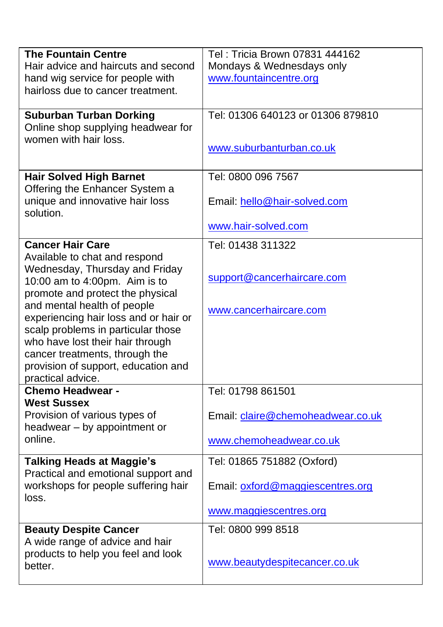| <b>The Fountain Centre</b>            | Tel: Tricia Brown 07831 444162    |  |  |
|---------------------------------------|-----------------------------------|--|--|
| Hair advice and haircuts and second   | Mondays & Wednesdays only         |  |  |
| hand wig service for people with      | www.fountaincentre.org            |  |  |
| hairloss due to cancer treatment.     |                                   |  |  |
|                                       |                                   |  |  |
| <b>Suburban Turban Dorking</b>        | Tel: 01306 640123 or 01306 879810 |  |  |
| Online shop supplying headwear for    |                                   |  |  |
| women with hair loss.                 |                                   |  |  |
|                                       | www.suburbanturban.co.uk          |  |  |
|                                       |                                   |  |  |
| <b>Hair Solved High Barnet</b>        | Tel: 0800 096 7567                |  |  |
| Offering the Enhancer System a        |                                   |  |  |
| unique and innovative hair loss       | Email: hello@hair-solved.com      |  |  |
| solution.                             |                                   |  |  |
|                                       | www.hair-solved.com               |  |  |
|                                       |                                   |  |  |
| <b>Cancer Hair Care</b>               | Tel: 01438 311322                 |  |  |
| Available to chat and respond         |                                   |  |  |
| Wednesday, Thursday and Friday        |                                   |  |  |
| 10:00 am to 4:00pm. Aim is to         | support@cancerhaircare.com        |  |  |
| promote and protect the physical      |                                   |  |  |
| and mental health of people           | www.cancerhaircare.com            |  |  |
| experiencing hair loss and or hair or |                                   |  |  |
| scalp problems in particular those    |                                   |  |  |
| who have lost their hair through      |                                   |  |  |
| cancer treatments, through the        |                                   |  |  |
| provision of support, education and   |                                   |  |  |
| practical advice.                     |                                   |  |  |
| <b>Chemo Headwear -</b>               | Tel: 01798 861501                 |  |  |
| <b>West Sussex</b>                    |                                   |  |  |
| Provision of various types of         | Email: claire@chemoheadwear.co.uk |  |  |
| headwear - by appointment or          |                                   |  |  |
| online.                               | www.chemoheadwear.co.uk           |  |  |
|                                       |                                   |  |  |
| <b>Talking Heads at Maggie's</b>      | Tel: 01865 751882 (Oxford)        |  |  |
| Practical and emotional support and   |                                   |  |  |
| workshops for people suffering hair   | Email: oxford@maggiescentres.org  |  |  |
| loss.                                 |                                   |  |  |
|                                       | www.maggiescentres.org            |  |  |
| <b>Beauty Despite Cancer</b>          | Tel: 0800 999 8518                |  |  |
| A wide range of advice and hair       |                                   |  |  |
| products to help you feel and look    |                                   |  |  |
| better.                               | www.beautydespitecancer.co.uk     |  |  |
|                                       |                                   |  |  |